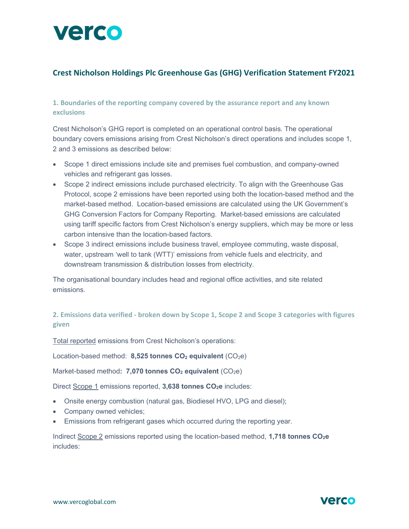

# Crest Nicholson Holdings Plc Greenhouse Gas (GHG) Verification Statement FY2021

1. Boundaries of the reporting company covered by the assurance report and any known exclusions

Crest Nicholson's GHG report is completed on an operational control basis. The operational boundary covers emissions arising from Crest Nicholson's direct operations and includes scope 1, 2 and 3 emissions as described below:

- Scope 1 direct emissions include site and premises fuel combustion, and company-owned vehicles and refrigerant gas losses.
- Scope 2 indirect emissions include purchased electricity. To align with the Greenhouse Gas Protocol, scope 2 emissions have been reported using both the location-based method and the market-based method. Location-based emissions are calculated using the UK Government's GHG Conversion Factors for Company Reporting. Market-based emissions are calculated using tariff specific factors from Crest Nicholson's energy suppliers, which may be more or less carbon intensive than the location-based factors.
- Scope 3 indirect emissions include business travel, employee commuting, waste disposal, water, upstream 'well to tank (WTT)' emissions from vehicle fuels and electricity, and downstream transmission & distribution losses from electricity.

The organisational boundary includes head and regional office activities, and site related emissions.

# 2. Emissions data verified - broken down by Scope 1, Scope 2 and Scope 3 categories with figures given

Total reported emissions from Crest Nicholson's operations:

Location-based method: 8,525 tonnes  $CO<sub>2</sub>$  equivalent (CO<sub>2</sub>e)

Market-based method: 7,070 tonnes  $CO<sub>2</sub>$  equivalent (CO<sub>2</sub>e)

Direct Scope 1 emissions reported, 3,638 tonnes CO<sub>2</sub>e includes:

- Onsite energy combustion (natural gas, Biodiesel HVO, LPG and diesel);
- Company owned vehicles;
- Emissions from refrigerant gases which occurred during the reporting year.

Indirect Scope 2 emissions reported using the location-based method, 1,718 tonnes CO<sub>2</sub>e includes:

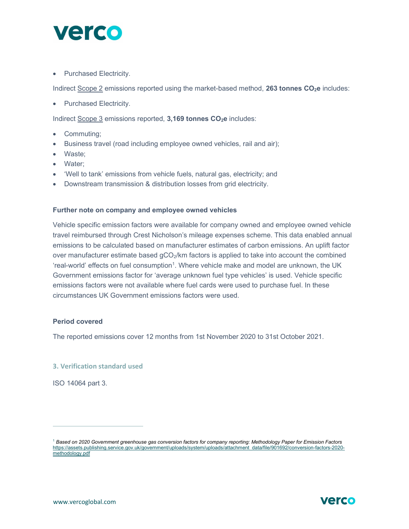

• Purchased Electricity.

Indirect Scope 2 emissions reported using the market-based method, 263 tonnes CO<sub>2</sub>e includes:

• Purchased Electricity.

Indirect Scope 3 emissions reported, 3,169 tonnes CO<sub>2</sub>e includes:

- Commuting;
- Business travel (road including employee owned vehicles, rail and air);
- Waste;
- Water:
- 'Well to tank' emissions from vehicle fuels, natural gas, electricity; and
- Downstream transmission & distribution losses from grid electricity.

#### Further note on company and employee owned vehicles

Vehicle specific emission factors were available for company owned and employee owned vehicle travel reimbursed through Crest Nicholson's mileage expenses scheme. This data enabled annual emissions to be calculated based on manufacturer estimates of carbon emissions. An uplift factor over manufacturer estimate based  $qCO<sub>2</sub>/km$  factors is applied to take into account the combined 'real-world' effects on fuel consumption<sup>1</sup>. Where vehicle make and model are unknown, the UK Government emissions factor for 'average unknown fuel type vehicles' is used. Vehicle specific emissions factors were not available where fuel cards were used to purchase fuel. In these circumstances UK Government emissions factors were used.

#### Period covered

The reported emissions cover 12 months from 1st November 2020 to 31st October 2021.

## 3. Verification standard used

ISO 14064 part 3.

 $^1$  Based on 2020 Government greenhouse gas conversion factors for company reporting: Methodology Paper for Emission Factors https://assets.publishing.service.gov.uk/government/uploads/system/uploads/attachment\_data/file/901692/conversion-factors-2020 methodology.pdf